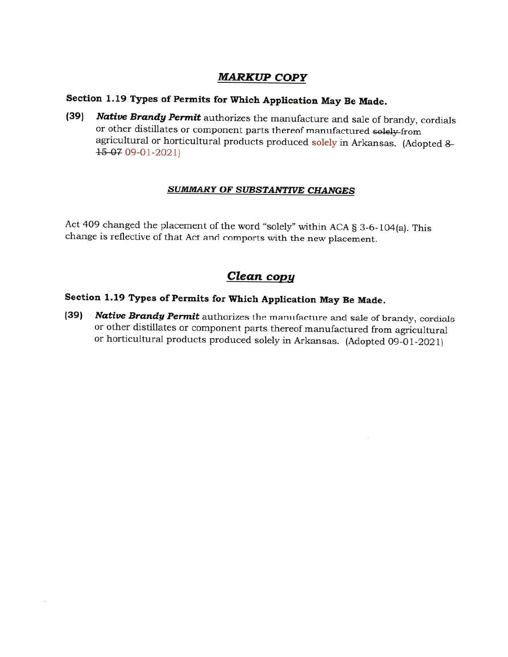### **MARKUP COPY**

# Section 1.19 Types of Permits for Which Application May Be Made.

Native Brandy Permit authorizes the manufacture and sale of brandy, cordials  $(39)$ or other distillates or component parts thereof manufactured solely-from agricultural or horticultural products produced solely in Arkansas. (Adopted 8-15-07 09-01-2021)

#### **SUMMARY OF SUBSTANTIVE CHANGES**

Act 409 changed the placement of the word "solely" within ACA § 3-6-104(a). This change is reflective of that Act and comports with the new placement.

### Clean copy

# Section 1.19 Types of Permits for Which Application May Be Made.

Native Brandy Permit authorizes the manufacture and sale of brandy, cordials  $(39)$ or other distillates or component parts thereof manufactured from agricultural or horticultural products produced solely in Arkansas. (Adopted 09-01-2021)